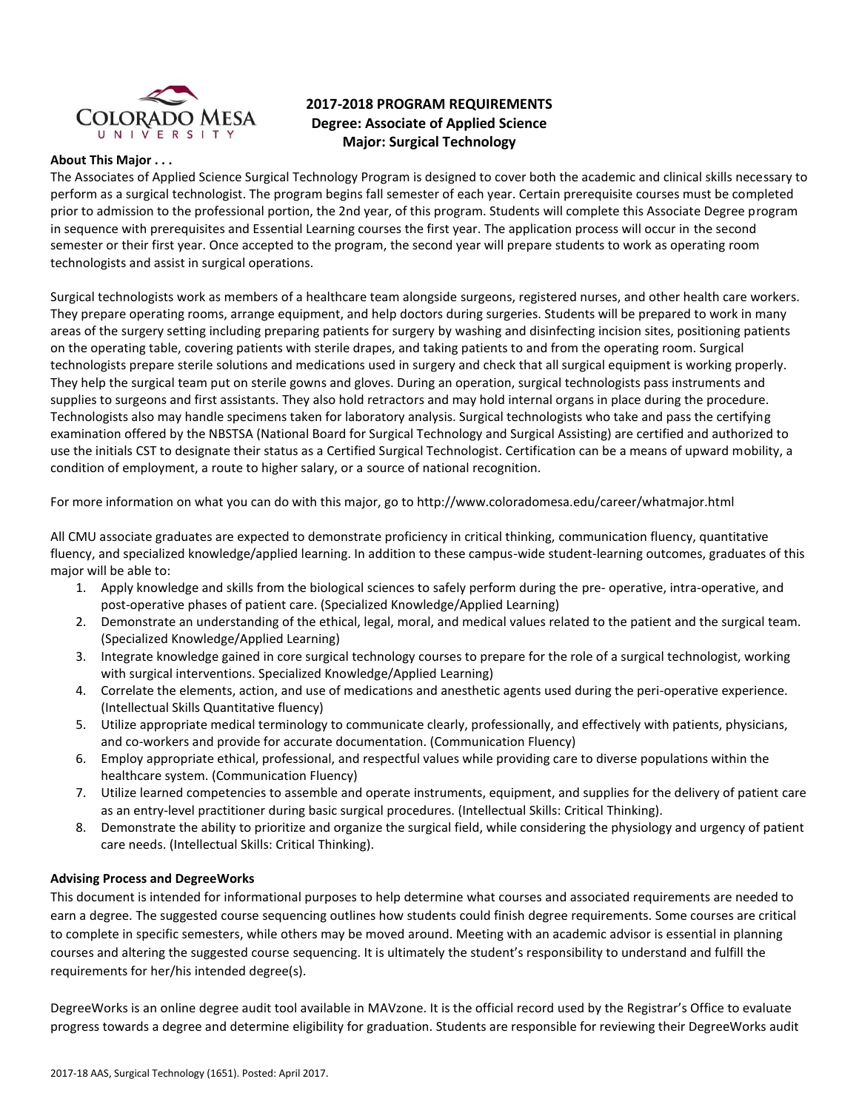

# **2017-2018 PROGRAM REQUIREMENTS Degree: Associate of Applied Science Major: Surgical Technology**

#### **About This Major . . .**

The Associates of Applied Science Surgical Technology Program is designed to cover both the academic and clinical skills necessary to perform as a surgical technologist. The program begins fall semester of each year. Certain prerequisite courses must be completed prior to admission to the professional portion, the 2nd year, of this program. Students will complete this Associate Degree program in sequence with prerequisites and Essential Learning courses the first year. The application process will occur in the second semester or their first year. Once accepted to the program, the second year will prepare students to work as operating room technologists and assist in surgical operations.

Surgical technologists work as members of a healthcare team alongside surgeons, registered nurses, and other health care workers. They prepare operating rooms, arrange equipment, and help doctors during surgeries. Students will be prepared to work in many areas of the surgery setting including preparing patients for surgery by washing and disinfecting incision sites, positioning patients on the operating table, covering patients with sterile drapes, and taking patients to and from the operating room. Surgical technologists prepare sterile solutions and medications used in surgery and check that all surgical equipment is working properly. They help the surgical team put on sterile gowns and gloves. During an operation, surgical technologists pass instruments and supplies to surgeons and first assistants. They also hold retractors and may hold internal organs in place during the procedure. Technologists also may handle specimens taken for laboratory analysis. Surgical technologists who take and pass the certifying examination offered by the NBSTSA (National Board for Surgical Technology and Surgical Assisting) are certified and authorized to use the initials CST to designate their status as a Certified Surgical Technologist. Certification can be a means of upward mobility, a condition of employment, a route to higher salary, or a source of national recognition.

For more information on what you can do with this major, go to http://www.coloradomesa.edu/career/whatmajor.html

All CMU associate graduates are expected to demonstrate proficiency in critical thinking, communication fluency, quantitative fluency, and specialized knowledge/applied learning. In addition to these campus-wide student-learning outcomes, graduates of this major will be able to:

- 1. Apply knowledge and skills from the biological sciences to safely perform during the pre- operative, intra-operative, and post-operative phases of patient care. (Specialized Knowledge/Applied Learning)
- 2. Demonstrate an understanding of the ethical, legal, moral, and medical values related to the patient and the surgical team. (Specialized Knowledge/Applied Learning)
- 3. Integrate knowledge gained in core surgical technology courses to prepare for the role of a surgical technologist, working with surgical interventions. Specialized Knowledge/Applied Learning)
- 4. Correlate the elements, action, and use of medications and anesthetic agents used during the peri-operative experience. (Intellectual Skills Quantitative fluency)
- 5. Utilize appropriate medical terminology to communicate clearly, professionally, and effectively with patients, physicians, and co-workers and provide for accurate documentation. (Communication Fluency)
- 6. Employ appropriate ethical, professional, and respectful values while providing care to diverse populations within the healthcare system. (Communication Fluency)
- 7. Utilize learned competencies to assemble and operate instruments, equipment, and supplies for the delivery of patient care as an entry-level practitioner during basic surgical procedures. (Intellectual Skills: Critical Thinking).
- 8. Demonstrate the ability to prioritize and organize the surgical field, while considering the physiology and urgency of patient care needs. (Intellectual Skills: Critical Thinking).

## **Advising Process and DegreeWorks**

This document is intended for informational purposes to help determine what courses and associated requirements are needed to earn a degree. The suggested course sequencing outlines how students could finish degree requirements. Some courses are critical to complete in specific semesters, while others may be moved around. Meeting with an academic advisor is essential in planning courses and altering the suggested course sequencing. It is ultimately the student's responsibility to understand and fulfill the requirements for her/his intended degree(s).

DegreeWorks is an online degree audit tool available in MAVzone. It is the official record used by the Registrar's Office to evaluate progress towards a degree and determine eligibility for graduation. Students are responsible for reviewing their DegreeWorks audit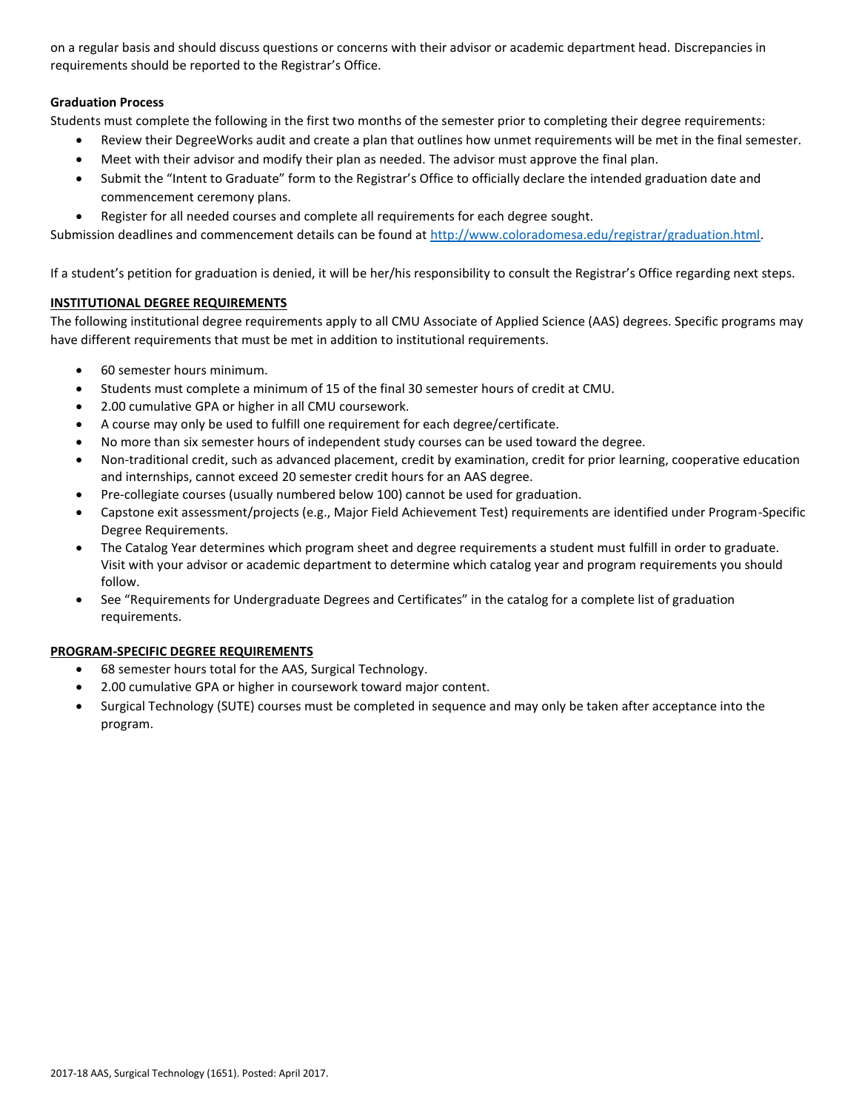on a regular basis and should discuss questions or concerns with their advisor or academic department head. Discrepancies in requirements should be reported to the Registrar's Office.

## **Graduation Process**

Students must complete the following in the first two months of the semester prior to completing their degree requirements:

- Review their DegreeWorks audit and create a plan that outlines how unmet requirements will be met in the final semester.
- Meet with their advisor and modify their plan as needed. The advisor must approve the final plan.
- Submit the "Intent to Graduate" form to the Registrar's Office to officially declare the intended graduation date and commencement ceremony plans.
- Register for all needed courses and complete all requirements for each degree sought.

Submission deadlines and commencement details can be found at [http://www.coloradomesa.edu/registrar/graduation.html.](http://www.coloradomesa.edu/registrar/graduation.html)

If a student's petition for graduation is denied, it will be her/his responsibility to consult the Registrar's Office regarding next steps.

## **INSTITUTIONAL DEGREE REQUIREMENTS**

The following institutional degree requirements apply to all CMU Associate of Applied Science (AAS) degrees. Specific programs may have different requirements that must be met in addition to institutional requirements.

- 60 semester hours minimum.
- Students must complete a minimum of 15 of the final 30 semester hours of credit at CMU.
- 2.00 cumulative GPA or higher in all CMU coursework.
- A course may only be used to fulfill one requirement for each degree/certificate.
- No more than six semester hours of independent study courses can be used toward the degree.
- Non-traditional credit, such as advanced placement, credit by examination, credit for prior learning, cooperative education and internships, cannot exceed 20 semester credit hours for an AAS degree.
- Pre-collegiate courses (usually numbered below 100) cannot be used for graduation.
- Capstone exit assessment/projects (e.g., Major Field Achievement Test) requirements are identified under Program-Specific Degree Requirements.
- The Catalog Year determines which program sheet and degree requirements a student must fulfill in order to graduate. Visit with your advisor or academic department to determine which catalog year and program requirements you should follow.
- See "Requirements for Undergraduate Degrees and Certificates" in the catalog for a complete list of graduation requirements.

## **PROGRAM-SPECIFIC DEGREE REQUIREMENTS**

- 68 semester hours total for the AAS, Surgical Technology.
- 2.00 cumulative GPA or higher in coursework toward major content.
- Surgical Technology (SUTE) courses must be completed in sequence and may only be taken after acceptance into the program.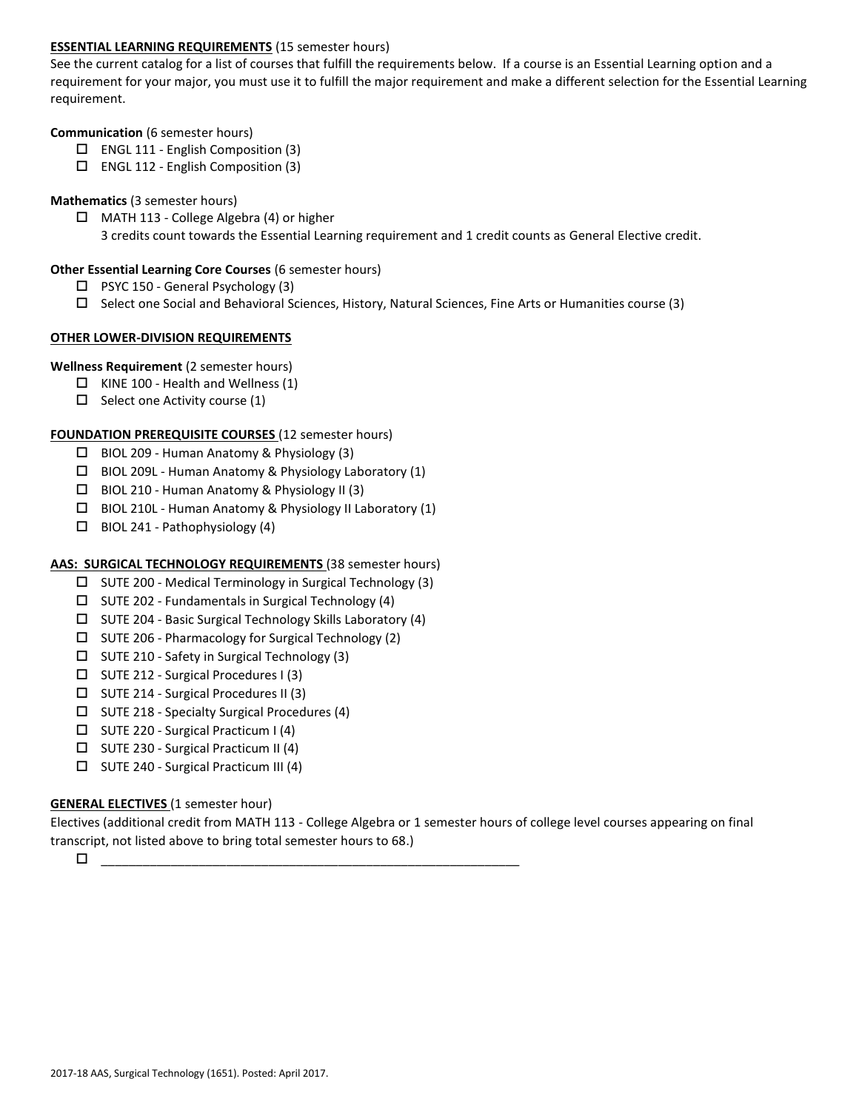## **ESSENTIAL LEARNING REQUIREMENTS** (15 semester hours)

See the current catalog for a list of courses that fulfill the requirements below. If a course is an Essential Learning option and a requirement for your major, you must use it to fulfill the major requirement and make a different selection for the Essential Learning requirement.

#### **Communication** (6 semester hours)

- $\Box$  ENGL 111 English Composition (3)
- ENGL 112 English Composition (3)

## **Mathematics** (3 semester hours)

 $\Box$  MATH 113 - College Algebra (4) or higher 3 credits count towards the Essential Learning requirement and 1 credit counts as General Elective credit.

## **Other Essential Learning Core Courses** (6 semester hours)

- $\Box$  PSYC 150 General Psychology (3)
- $\square$  Select one Social and Behavioral Sciences, History, Natural Sciences, Fine Arts or Humanities course (3)

## **OTHER LOWER-DIVISION REQUIREMENTS**

## **Wellness Requirement** (2 semester hours)

- $\Box$  KINE 100 Health and Wellness (1)
- $\Box$  Select one Activity course (1)

## **FOUNDATION PREREQUISITE COURSES** (12 semester hours)

- BIOL 209 Human Anatomy & Physiology (3)
- $\Box$  BIOL 209L Human Anatomy & Physiology Laboratory (1)
- $\Box$  BIOL 210 Human Anatomy & Physiology II (3)
- BIOL 210L Human Anatomy & Physiology II Laboratory (1)
- $\Box$  BIOL 241 Pathophysiology (4)

## **AAS: SURGICAL TECHNOLOGY REQUIREMENTS** (38 semester hours)

- $\square$  SUTE 200 Medical Terminology in Surgical Technology (3)
- $\square$  SUTE 202 Fundamentals in Surgical Technology (4)
- $\square$  SUTE 204 Basic Surgical Technology Skills Laboratory (4)
- $\square$  SUTE 206 Pharmacology for Surgical Technology (2)
- $\square$  SUTE 210 Safety in Surgical Technology (3)
- SUTE 212 Surgical Procedures I (3)
- SUTE 214 Surgical Procedures II (3)
- $\square$  SUTE 218 Specialty Surgical Procedures (4)
- SUTE 220 Surgical Practicum I (4)
- $\square$  SUTE 230 Surgical Practicum II (4)
- SUTE 240 Surgical Practicum III (4)

## **GENERAL ELECTIVES** (1 semester hour)

Electives (additional credit from MATH 113 - College Algebra or 1 semester hours of college level courses appearing on final transcript, not listed above to bring total semester hours to 68.)

\_\_\_\_\_\_\_\_\_\_\_\_\_\_\_\_\_\_\_\_\_\_\_\_\_\_\_\_\_\_\_\_\_\_\_\_\_\_\_\_\_\_\_\_\_\_\_\_\_\_\_\_\_\_\_\_\_\_\_\_